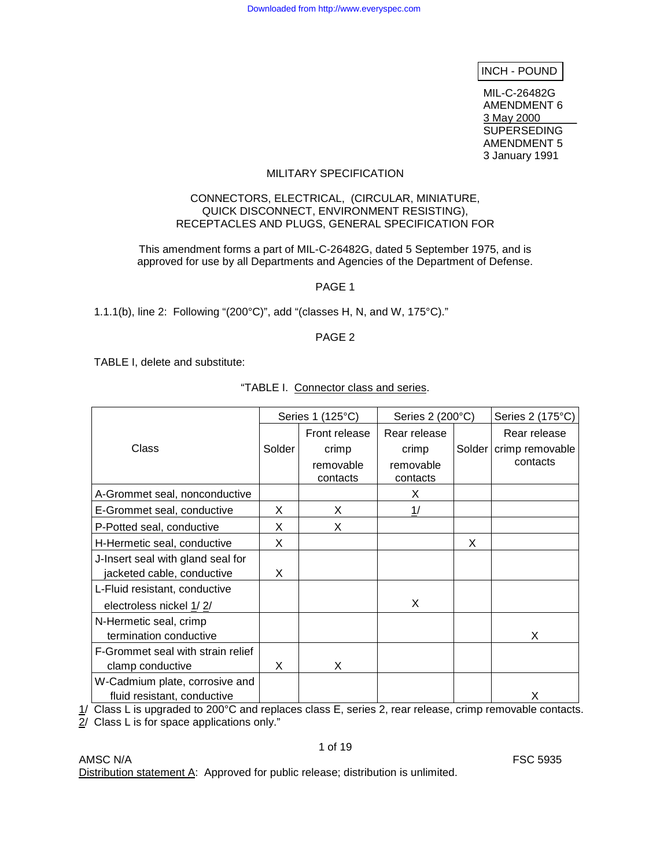INCH - POUND

MIL-C-26482G AMENDMENT 6 3 May 2000 SUPERSEDING AMENDMENT 5 3 January 1991

#### MILITARY SPECIFICATION

#### CONNECTORS, ELECTRICAL, (CIRCULAR, MINIATURE, QUICK DISCONNECT, ENVIRONMENT RESISTING), RECEPTACLES AND PLUGS, GENERAL SPECIFICATION FOR

This amendment forms a part of MIL-C-26482G, dated 5 September 1975, and is approved for use by all Departments and Agencies of the Department of Defense.

PAGE 1

1.1.1(b), line 2: Following "(200°C)", add "(classes H, N, and W, 175°C)."

### PAGE 2

TABLE I, delete and substitute:

|                                   | Series 1 (125°C) |                       | Series 2 (200°C)      | Series 2 (175°C) |                          |  |
|-----------------------------------|------------------|-----------------------|-----------------------|------------------|--------------------------|--|
|                                   |                  | Front release         | Rear release          |                  | Rear release             |  |
| Class                             | Solder           | crimp                 | crimp                 |                  | Solder   crimp removable |  |
|                                   |                  | removable<br>contacts | removable<br>contacts |                  | contacts                 |  |
| A-Grommet seal, nonconductive     |                  |                       | Χ                     |                  |                          |  |
| E-Grommet seal, conductive        | X                | X                     | 1/                    |                  |                          |  |
| P-Potted seal, conductive         | X                | X                     |                       |                  |                          |  |
| H-Hermetic seal, conductive       | X                |                       |                       | X                |                          |  |
| J-Insert seal with gland seal for |                  |                       |                       |                  |                          |  |
| jacketed cable, conductive        | X                |                       |                       |                  |                          |  |
| L-Fluid resistant, conductive     |                  |                       |                       |                  |                          |  |
| electroless nickel 1/2/           |                  |                       | X                     |                  |                          |  |
| N-Hermetic seal, crimp            |                  |                       |                       |                  |                          |  |
| termination conductive            |                  |                       |                       |                  | X                        |  |
| F-Grommet seal with strain relief |                  |                       |                       |                  |                          |  |
| clamp conductive                  | X                | X                     |                       |                  |                          |  |
| W-Cadmium plate, corrosive and    |                  |                       |                       |                  |                          |  |
| fluid resistant, conductive       |                  |                       |                       |                  | Х                        |  |

"TABLE I. Connector class and series.

1/ Class L is upgraded to 200°C and replaces class E, series 2, rear release, crimp removable contacts.

2/ Class L is for space applications only."

AMSC N/A FSC 5935 Distribution statement A: Approved for public release; distribution is unlimited.

# 1 of 19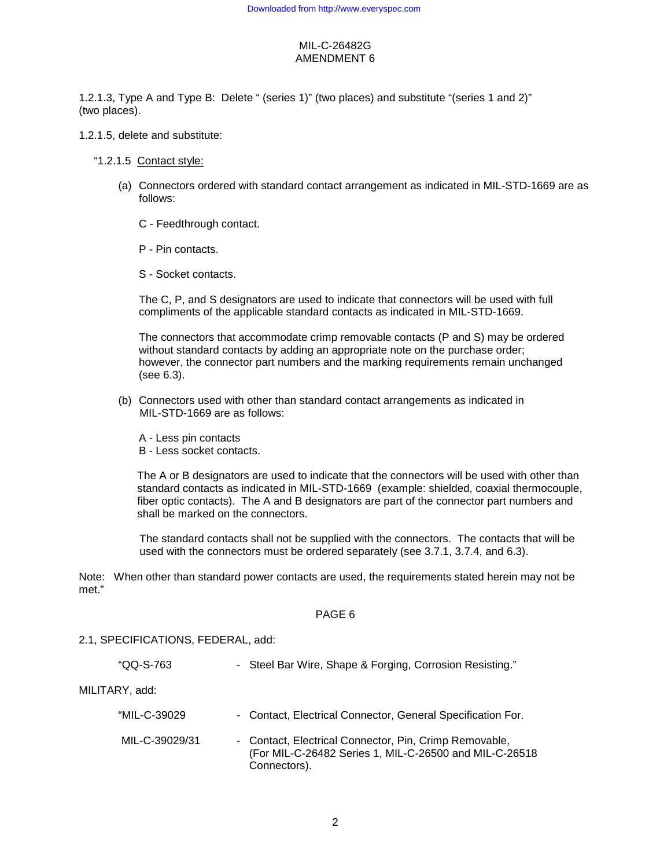1.2.1.3, Type A and Type B: Delete " (series 1)" (two places) and substitute "(series 1 and 2)" (two places).

### 1.2.1.5, delete and substitute:

### "1.2.1.5 Contact style:

- (a) Connectors ordered with standard contact arrangement as indicated in MIL-STD-1669 are as follows:
	- C Feedthrough contact.
	- P Pin contacts.
	- S Socket contacts.

The C, P, and S designators are used to indicate that connectors will be used with full compliments of the applicable standard contacts as indicated in MIL-STD-1669.

The connectors that accommodate crimp removable contacts (P and S) may be ordered without standard contacts by adding an appropriate note on the purchase order; however, the connector part numbers and the marking requirements remain unchanged (see 6.3).

- (b) Connectors used with other than standard contact arrangements as indicated in MIL-STD-1669 are as follows:
	- A Less pin contacts
	- B Less socket contacts.

The A or B designators are used to indicate that the connectors will be used with other than standard contacts as indicated in MIL-STD-1669 (example: shielded, coaxial thermocouple, fiber optic contacts). The A and B designators are part of the connector part numbers and shall be marked on the connectors.

 The standard contacts shall not be supplied with the connectors. The contacts that will be used with the connectors must be ordered separately (see 3.7.1, 3.7.4, and 6.3).

Note: When other than standard power contacts are used, the requirements stated herein may not be met."

### PAGE 6

## 2.1, SPECIFICATIONS, FEDERAL, add:

| "QQ-S-763      | - Steel Bar Wire, Shape & Forging, Corrosion Resisting."                                                                         |
|----------------|----------------------------------------------------------------------------------------------------------------------------------|
| MILITARY, add: |                                                                                                                                  |
| "MIL-C-39029   | - Contact, Electrical Connector, General Specification For.                                                                      |
| MIL-C-39029/31 | - Contact, Electrical Connector, Pin, Crimp Removable,<br>(For MIL-C-26482 Series 1, MIL-C-26500 and MIL-C-26518<br>Connectors). |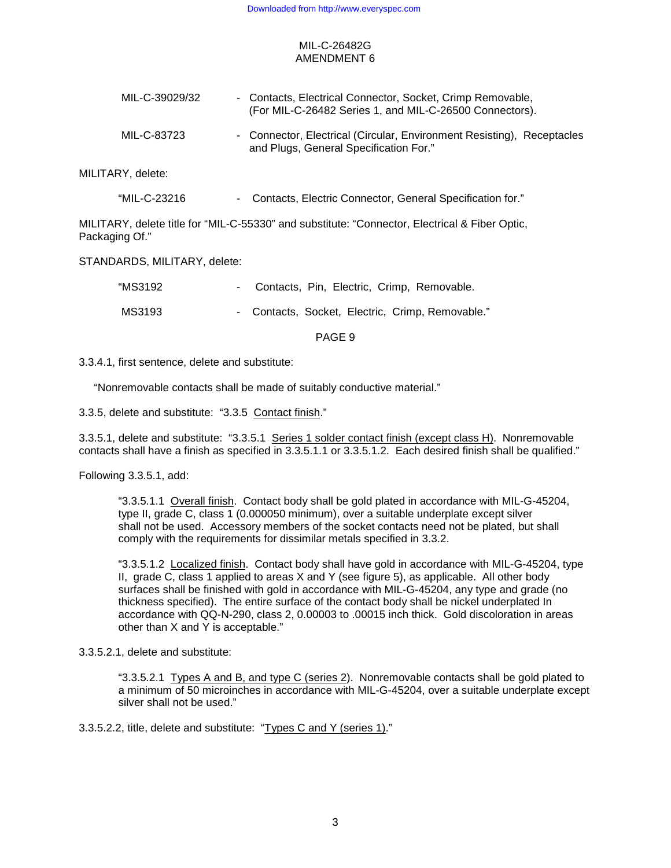| MIL-C-39029/32 | - Contacts, Electrical Connector, Socket, Crimp Removable,<br>(For MIL-C-26482 Series 1, and MIL-C-26500 Connectors). |
|----------------|-----------------------------------------------------------------------------------------------------------------------|
| MIL-C-83723    | - Connector, Electrical (Circular, Environment Resisting), Receptacles<br>and Plugs, General Specification For."      |

MILITARY, delete:

| "MIL-C-23216 |  |  | Contacts, Electric Connector, General Specification for." |
|--------------|--|--|-----------------------------------------------------------|
|              |  |  |                                                           |

MILITARY, delete title for "MIL-C-55330" and substitute: "Connector, Electrical & Fiber Optic, Packaging Of."

STANDARDS, MILITARY, delete:

| "MS3192 | - Contacts, Pin, Electric, Crimp, Removable.     |
|---------|--------------------------------------------------|
| MS3193  | - Contacts, Socket, Electric, Crimp, Removable." |

PAGE 9

3.3.4.1, first sentence, delete and substitute:

"Nonremovable contacts shall be made of suitably conductive material."

3.3.5, delete and substitute: "3.3.5 Contact finish."

3.3.5.1, delete and substitute: "3.3.5.1 Series 1 solder contact finish (except class H). Nonremovable contacts shall have a finish as specified in 3.3.5.1.1 or 3.3.5.1.2. Each desired finish shall be qualified."

Following 3.3.5.1, add:

"3.3.5.1.1 Overall finish. Contact body shall be gold plated in accordance with MIL-G-45204, type II, grade C, class 1 (0.000050 minimum), over a suitable underplate except silver shall not be used. Accessory members of the socket contacts need not be plated, but shall comply with the requirements for dissimilar metals specified in 3.3.2.

"3.3.5.1.2 Localized finish. Contact body shall have gold in accordance with MIL-G-45204, type II, grade C, class 1 applied to areas X and Y (see figure 5), as applicable. All other body surfaces shall be finished with gold in accordance with MIL-G-45204, any type and grade (no thickness specified). The entire surface of the contact body shall be nickel underplated In accordance with QQ-N-290, class 2, 0.00003 to .00015 inch thick. Gold discoloration in areas other than X and Y is acceptable."

3.3.5.2.1, delete and substitute:

"3.3.5.2.1 Types A and B, and type C (series 2). Nonremovable contacts shall be gold plated to a minimum of 50 microinches in accordance with MIL-G-45204, over a suitable underplate except silver shall not be used."

3.3.5.2.2, title, delete and substitute: "Types C and Y (series 1)."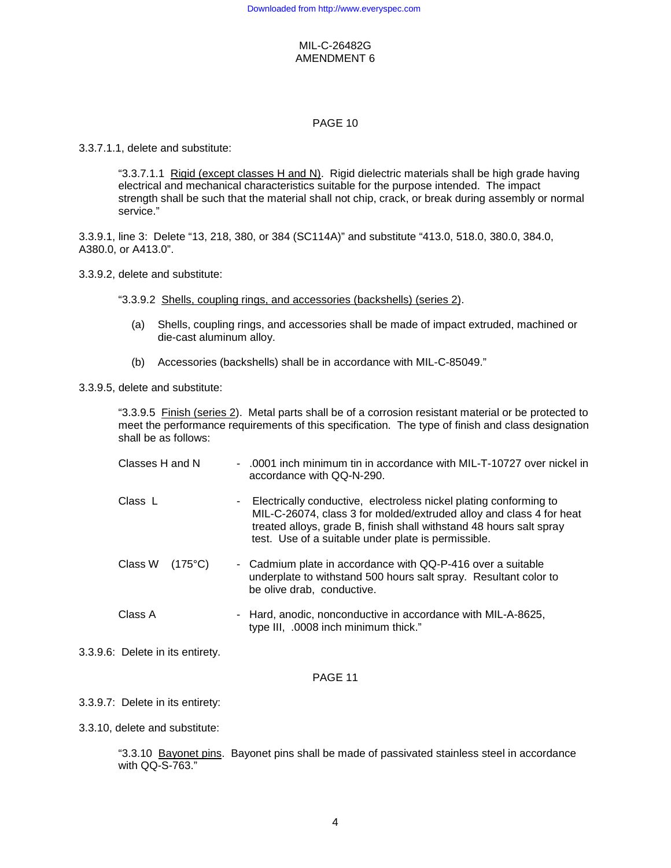### PAGE 10

3.3.7.1.1, delete and substitute:

"3.3.7.1.1 Rigid (except classes H and N). Rigid dielectric materials shall be high grade having electrical and mechanical characteristics suitable for the purpose intended. The impact strength shall be such that the material shall not chip, crack, or break during assembly or normal service."

3.3.9.1, line 3: Delete "13, 218, 380, or 384 (SC114A)" and substitute "413.0, 518.0, 380.0, 384.0, A380.0, or A413.0".

3.3.9.2, delete and substitute:

"3.3.9.2 Shells, coupling rings, and accessories (backshells) (series 2).

- (a) Shells, coupling rings, and accessories shall be made of impact extruded, machined or die-cast aluminum alloy.
- (b) Accessories (backshells) shall be in accordance with MIL-C-85049."

3.3.9.5, delete and substitute:

"3.3.9.5 Finish (series 2). Metal parts shall be of a corrosion resistant material or be protected to meet the performance requirements of this specification. The type of finish and class designation shall be as follows:

| Classes H and N                  | $\sim$ | .0001 inch minimum tin in accordance with MIL-T-10727 over nickel in<br>accordance with QQ-N-290.                                                                                                                                                                      |
|----------------------------------|--------|------------------------------------------------------------------------------------------------------------------------------------------------------------------------------------------------------------------------------------------------------------------------|
| Class L                          | ٠      | Electrically conductive, electroless nickel plating conforming to<br>MIL-C-26074, class 3 for molded/extruded alloy and class 4 for heat<br>treated alloys, grade B, finish shall withstand 48 hours salt spray<br>test. Use of a suitable under plate is permissible. |
| Class W<br>$(175^{\circ}C)$      |        | - Cadmium plate in accordance with QQ-P-416 over a suitable<br>underplate to withstand 500 hours salt spray. Resultant color to<br>be olive drab, conductive.                                                                                                          |
| Class A                          |        | - Hard, anodic, nonconductive in accordance with MIL-A-8625,<br>type III, .0008 inch minimum thick."                                                                                                                                                                   |
| 3.3.9.6: Delete in its entirety. |        |                                                                                                                                                                                                                                                                        |

## PAGE 11

3.3.9.7: Delete in its entirety:

3.3.10, delete and substitute:

"3.3.10 Bayonet pins. Bayonet pins shall be made of passivated stainless steel in accordance with QQ-S-763."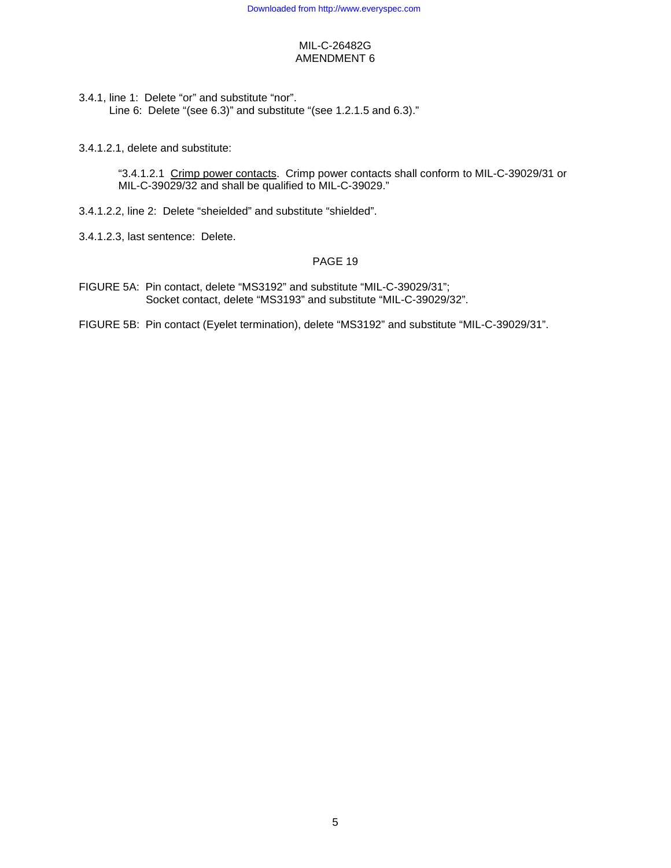3.4.1, line 1: Delete "or" and substitute "nor". Line 6: Delete "(see 6.3)" and substitute "(see 1.2.1.5 and 6.3)."

3.4.1.2.1, delete and substitute:

"3.4.1.2.1 Crimp power contacts. Crimp power contacts shall conform to MIL-C-39029/31 or MIL-C-39029/32 and shall be qualified to MIL-C-39029."

- 3.4.1.2.2, line 2: Delete "sheielded" and substitute "shielded".
- 3.4.1.2.3, last sentence: Delete.

### PAGE 19

- FIGURE 5A: Pin contact, delete "MS3192" and substitute "MIL-C-39029/31"; Socket contact, delete "MS3193" and substitute "MIL-C-39029/32".
- FIGURE 5B: Pin contact (Eyelet termination), delete "MS3192" and substitute "MIL-C-39029/31".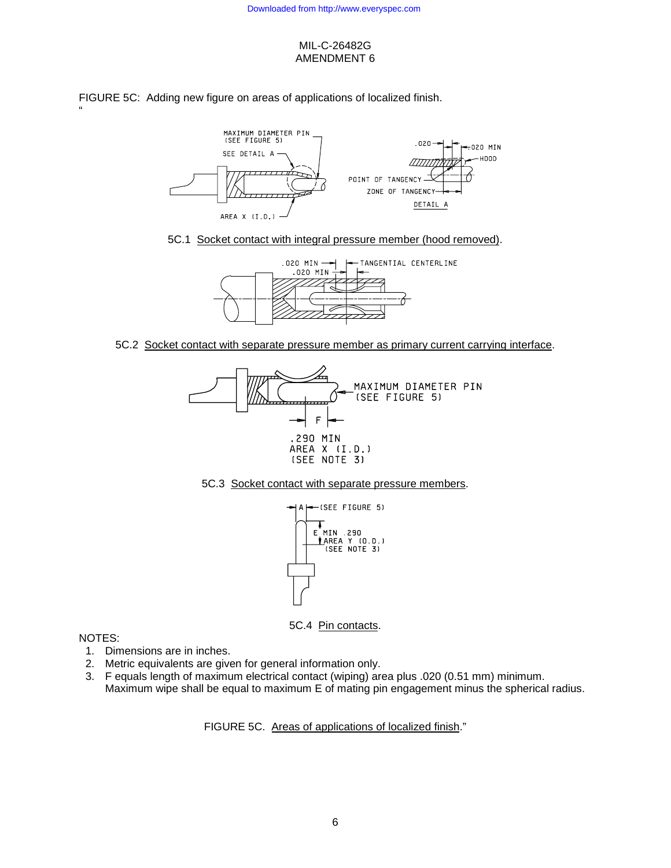FIGURE 5C: Adding new figure on areas of applications of localized finish.



5C.1 Socket contact with integral pressure member (hood removed).



5C.2 Socket contact with separate pressure member as primary current carrying interface.







5C.4 Pin contacts.

## NOTES:

"

- 1. Dimensions are in inches.
- 2. Metric equivalents are given for general information only.
- 3. F equals length of maximum electrical contact (wiping) area plus .020 (0.51 mm) minimum. Maximum wipe shall be equal to maximum E of mating pin engagement minus the spherical radius.

FIGURE 5C. Areas of applications of localized finish."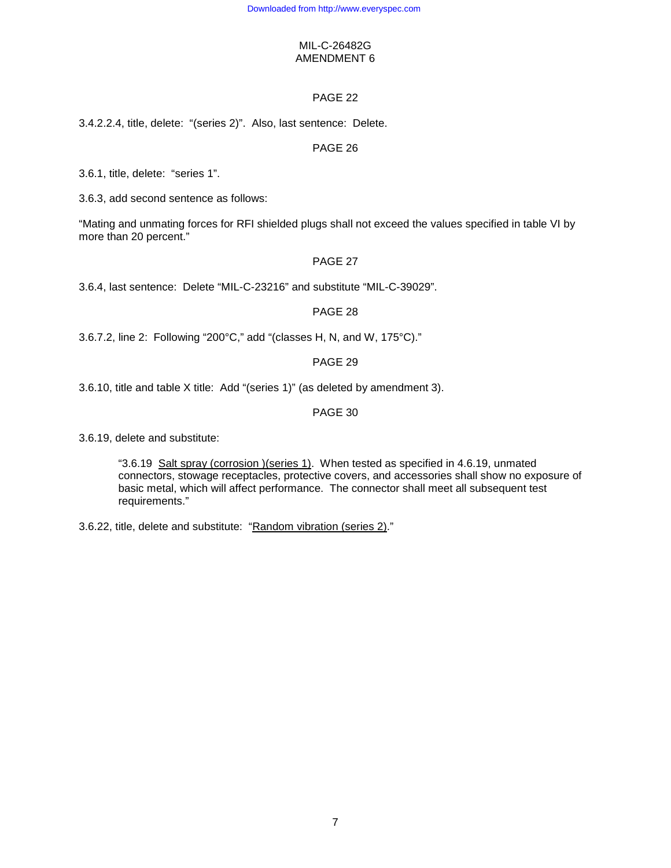# PAGE 22

3.4.2.2.4, title, delete: "(series 2)". Also, last sentence: Delete.

## PAGE 26

3.6.1, title, delete: "series 1".

3.6.3, add second sentence as follows:

"Mating and unmating forces for RFI shielded plugs shall not exceed the values specified in table VI by more than 20 percent."

## PAGE 27

3.6.4, last sentence: Delete "MIL-C-23216" and substitute "MIL-C-39029".

### PAGE 28

3.6.7.2, line 2: Following "200°C," add "(classes H, N, and W, 175°C)."

# PAGE 29

3.6.10, title and table X title: Add "(series 1)" (as deleted by amendment 3).

## PAGE 30

3.6.19, delete and substitute:

"3.6.19 Salt spray (corrosion )(series 1). When tested as specified in 4.6.19, unmated connectors, stowage receptacles, protective covers, and accessories shall show no exposure of basic metal, which will affect performance. The connector shall meet all subsequent test requirements."

3.6.22, title, delete and substitute: "Random vibration (series 2)."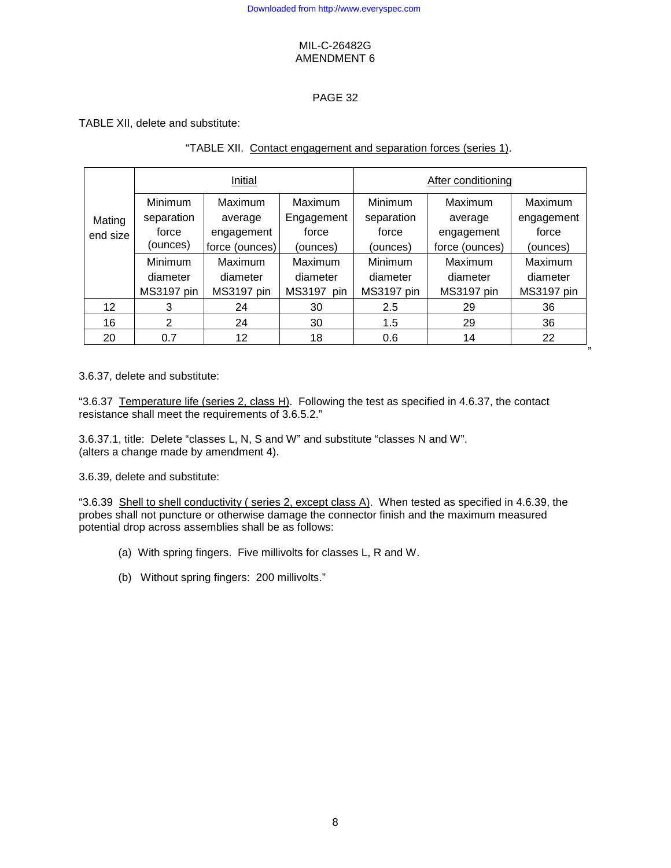# PAGE 32

TABLE XII, delete and substitute:

|          |                            | Initial        |               | After conditioning |                |            |  |  |
|----------|----------------------------|----------------|---------------|--------------------|----------------|------------|--|--|
|          | <b>Minimum</b>             | <b>Maximum</b> | Maximum       | <b>Minimum</b>     | Maximum        | Maximum    |  |  |
| Mating   | separation                 | average        | Engagement    | separation         | average        | engagement |  |  |
| end size | force                      | engagement     | force         | force              | engagement     | force      |  |  |
|          | (ounces)<br>force (ounces) |                | (ounces)      | (ounces)           | force (ounces) | (ounces)   |  |  |
|          | Minimum                    | Maximum        | Maximum       | Minimum            | Maximum        | Maximum    |  |  |
|          | diameter                   | diameter       | diameter      | diameter           | diameter       | diameter   |  |  |
|          | MS3197 pin                 | MS3197 pin     | MS3197<br>pin | MS3197 pin         | MS3197 pin     | MS3197 pin |  |  |
| 12       | 3                          | 24             | 30            | 2.5                | 29             | 36         |  |  |
| 16       | $\overline{2}$             | 24             | 30            | 1.5                | 29             | 36         |  |  |
| 20       | 0.7                        | 12             | 18            | 0.6                | 14             | 22         |  |  |

# "TABLE XII. Contact engagement and separation forces (series 1).

3.6.37, delete and substitute:

"3.6.37 Temperature life (series 2, class H). Following the test as specified in 4.6.37, the contact resistance shall meet the requirements of 3.6.5.2."

3.6.37.1, title: Delete "classes L, N, S and W" and substitute "classes N and W". (alters a change made by amendment 4).

3.6.39, delete and substitute:

"3.6.39 Shell to shell conductivity ( series 2, except class A). When tested as specified in 4.6.39, the probes shall not puncture or otherwise damage the connector finish and the maximum measured potential drop across assemblies shall be as follows:

- (a) With spring fingers. Five millivolts for classes L, R and W.
- (b) Without spring fingers: 200 millivolts."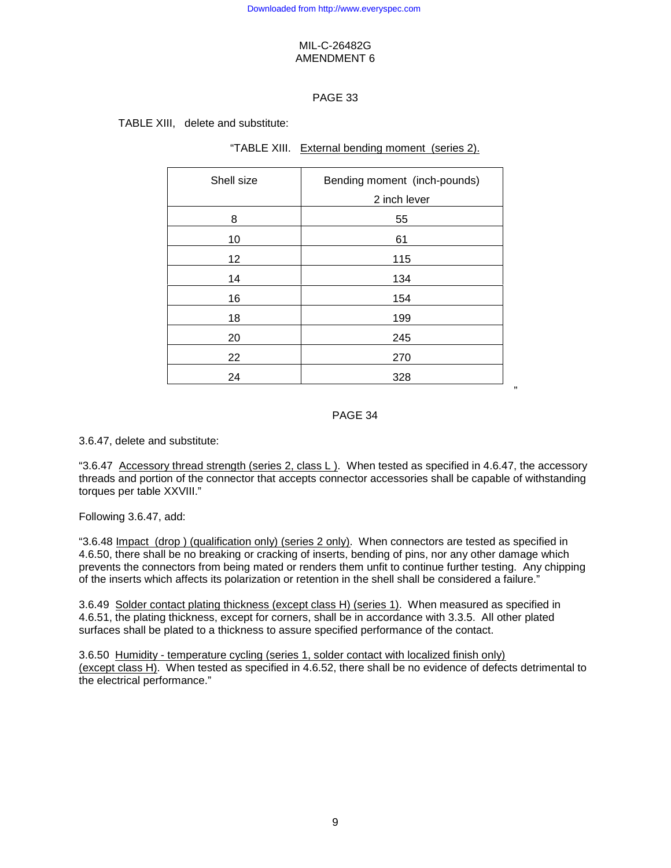# PAGE 33

TABLE XIII, delete and substitute:

| "TABLE XIII. External bending moment (series 2). |  |
|--------------------------------------------------|--|
|                                                  |  |

| Shell size | Bending moment (inch-pounds)<br>2 inch lever |
|------------|----------------------------------------------|
| 8          | 55                                           |
| 10         | 61                                           |
| 12         | 115                                          |
| 14         | 134                                          |
| 16         | 154                                          |
| 18         | 199                                          |
| 20         | 245                                          |
| 22         | 270                                          |
| 24         | 328                                          |

# PAGE 34

3.6.47, delete and substitute:

"3.6.47 Accessory thread strength (series 2, class L ). When tested as specified in 4.6.47, the accessory threads and portion of the connector that accepts connector accessories shall be capable of withstanding torques per table XXVIII."

Following 3.6.47, add:

"3.6.48 Impact (drop ) (qualification only) (series 2 only). When connectors are tested as specified in 4.6.50, there shall be no breaking or cracking of inserts, bending of pins, nor any other damage which prevents the connectors from being mated or renders them unfit to continue further testing. Any chipping of the inserts which affects its polarization or retention in the shell shall be considered a failure."

3.6.49 Solder contact plating thickness (except class H) (series 1). When measured as specified in 4.6.51, the plating thickness, except for corners, shall be in accordance with 3.3.5. All other plated surfaces shall be plated to a thickness to assure specified performance of the contact.

3.6.50 Humidity - temperature cycling (series 1, solder contact with localized finish only) (except class H). When tested as specified in 4.6.52, there shall be no evidence of defects detrimental to the electrical performance."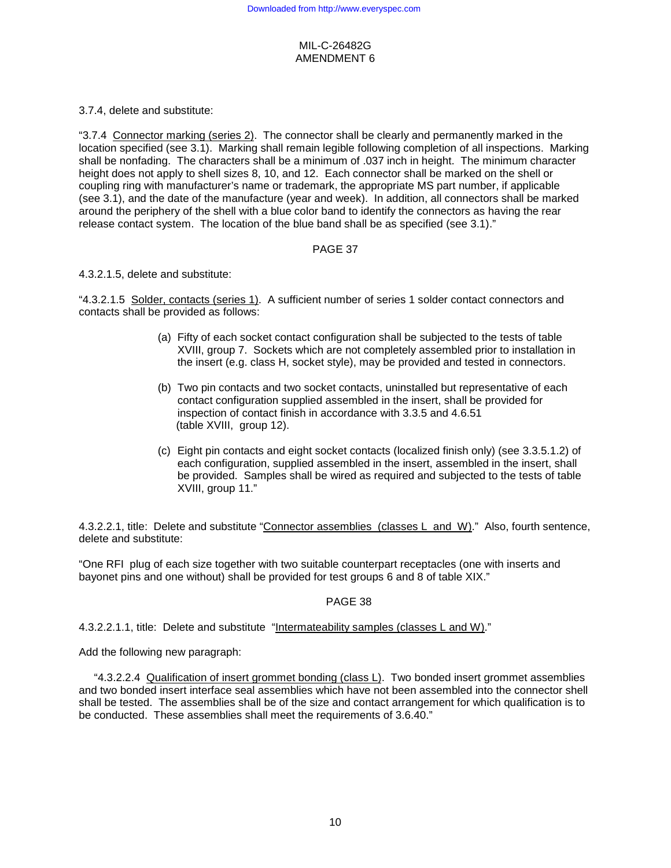3.7.4, delete and substitute:

"3.7.4 Connector marking (series 2). The connector shall be clearly and permanently marked in the location specified (see 3.1). Marking shall remain legible following completion of all inspections. Marking shall be nonfading. The characters shall be a minimum of .037 inch in height. The minimum character height does not apply to shell sizes 8, 10, and 12. Each connector shall be marked on the shell or coupling ring with manufacturer's name or trademark, the appropriate MS part number, if applicable (see 3.1), and the date of the manufacture (year and week). In addition, all connectors shall be marked around the periphery of the shell with a blue color band to identify the connectors as having the rear release contact system. The location of the blue band shall be as specified (see 3.1)."

## PAGE 37

### 4.3.2.1.5, delete and substitute:

"4.3.2.1.5 Solder, contacts (series 1). A sufficient number of series 1 solder contact connectors and contacts shall be provided as follows:

- (a) Fifty of each socket contact configuration shall be subjected to the tests of table XVIII, group 7. Sockets which are not completely assembled prior to installation in the insert (e.g. class H, socket style), may be provided and tested in connectors.
- (b) Two pin contacts and two socket contacts, uninstalled but representative of each contact configuration supplied assembled in the insert, shall be provided for inspection of contact finish in accordance with 3.3.5 and 4.6.51 (table XVIII, group 12).
- (c) Eight pin contacts and eight socket contacts (localized finish only) (see 3.3.5.1.2) of each configuration, supplied assembled in the insert, assembled in the insert, shall be provided. Samples shall be wired as required and subjected to the tests of table XVIII, group 11."

4.3.2.2.1, title: Delete and substitute "Connector assemblies (classes L and W)." Also, fourth sentence, delete and substitute:

"One RFI plug of each size together with two suitable counterpart receptacles (one with inserts and bayonet pins and one without) shall be provided for test groups 6 and 8 of table XIX."

## PAGE 38

4.3.2.2.1.1, title: Delete and substitute "Intermateability samples (classes L and W)."

Add the following new paragraph:

 "4.3.2.2.4 Qualification of insert grommet bonding (class L). Two bonded insert grommet assemblies and two bonded insert interface seal assemblies which have not been assembled into the connector shell shall be tested. The assemblies shall be of the size and contact arrangement for which qualification is to be conducted. These assemblies shall meet the requirements of 3.6.40."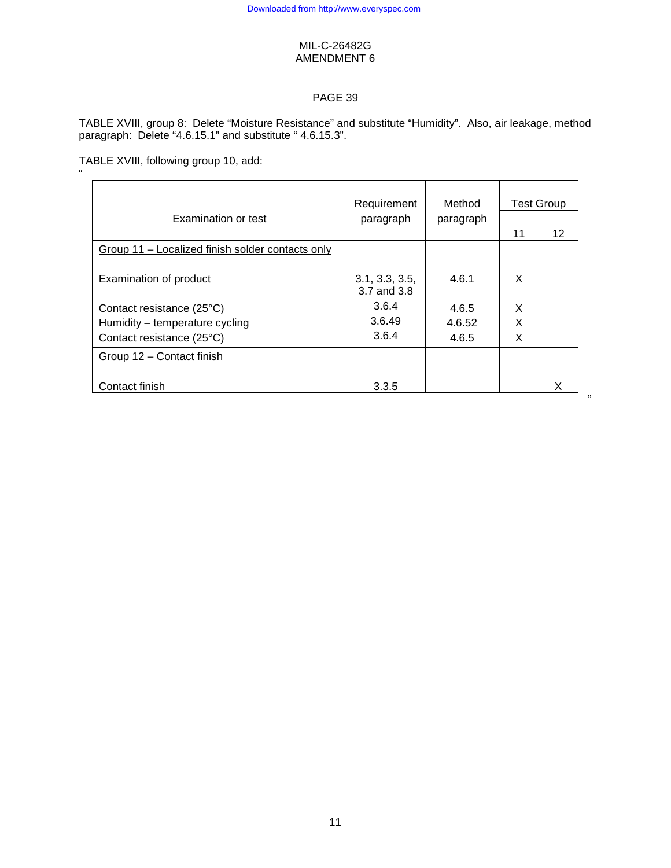# PAGE 39

TABLE XVIII, group 8: Delete "Moisture Resistance" and substitute "Humidity". Also, air leakage, method paragraph: Delete "4.6.15.1" and substitute "4.6.15.3".

TABLE XVIII, following group 10, add: "

| Examination or test                              | Requirement<br>paragraph      | Method<br>paragraph |    | <b>Test Group</b> |
|--------------------------------------------------|-------------------------------|---------------------|----|-------------------|
|                                                  |                               |                     | 11 | 12                |
| Group 11 – Localized finish solder contacts only |                               |                     |    |                   |
| Examination of product                           | 3.1, 3.3, 3.5,<br>3.7 and 3.8 | 4.6.1               | X  |                   |
| Contact resistance (25°C)                        | 3.6.4                         | 4.6.5               | X  |                   |
| Humidity - temperature cycling                   | 3.6.49                        | 4.6.52              | X  |                   |
| Contact resistance (25°C)                        | 3.6.4                         | 4.6.5               | X  |                   |
| Group 12 - Contact finish                        |                               |                     |    |                   |
| Contact finish                                   | 3.3.5                         |                     |    | x                 |

,,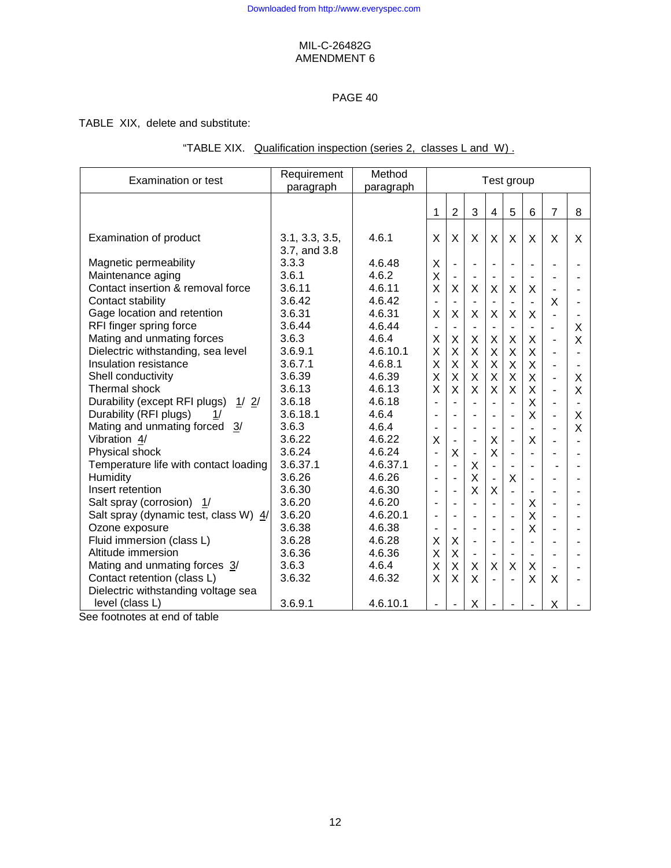# PAGE 40

TABLE XIX, delete and substitute:

|  |  |  |  | "TABLE XIX. Qualification inspection (series 2, classes L and W). |  |
|--|--|--|--|-------------------------------------------------------------------|--|
|--|--|--|--|-------------------------------------------------------------------|--|

| <b>Examination or test</b>            | Requirement<br>paragraph | Method<br>paragraph |                          | Test group                   |                          |                              |                          |                          |                          |                          |
|---------------------------------------|--------------------------|---------------------|--------------------------|------------------------------|--------------------------|------------------------------|--------------------------|--------------------------|--------------------------|--------------------------|
|                                       |                          |                     | 1                        | $\overline{2}$               | 3                        | $\overline{4}$               | 5                        | 6                        | $\overline{7}$           | 8                        |
| Examination of product                | 3.1, 3.3, 3.5,           | 4.6.1               | X                        | $\sf X$                      | X                        | $\mathsf{X}$                 | X                        | $\sf X$                  | X                        | X                        |
| Magnetic permeability                 | 3.7, and 3.8<br>3.3.3    | 4.6.48              | X                        | $\blacksquare$               | $\overline{\phantom{a}}$ | $\blacksquare$               | ÷,                       | $\overline{\phantom{a}}$ |                          | $\overline{\phantom{0}}$ |
| Maintenance aging                     | 3.6.1                    | 4.6.2               | X                        |                              |                          | $\blacksquare$               |                          |                          |                          | $\blacksquare$           |
| Contact insertion & removal force     | 3.6.11                   | 4.6.11              | X                        | X                            | X                        | X                            | X                        | X                        |                          | $\overline{\phantom{0}}$ |
| Contact stability                     | 3.6.42                   | 4.6.42              | $\blacksquare$           | $\overline{\phantom{a}}$     | $\overline{\phantom{a}}$ | $\qquad \qquad \blacksquare$ |                          |                          | X                        | $\overline{a}$           |
| Gage location and retention           | 3.6.31                   | 4.6.31              | X                        | X                            | X                        | $\mathsf{X}$                 | X                        | X                        | L.                       |                          |
| RFI finger spring force               | 3.6.44                   | 4.6.44              | $\frac{1}{2}$            | $\blacksquare$               | $\blacksquare$           | $\blacksquare$               | ä,                       | $\blacksquare$           | $\overline{\phantom{a}}$ | X                        |
| Mating and unmating forces            | 3.6.3                    | 4.6.4               | X                        | X                            | X                        | X                            | X                        | X                        | $\blacksquare$           | X                        |
| Dielectric withstanding, sea level    | 3.6.9.1                  | 4.6.10.1            | X                        | X                            | X                        | X                            | X                        | X                        | $\overline{a}$           | $\overline{a}$           |
| Insulation resistance                 | 3.6.7.1                  | 4.6.8.1             | X                        | X                            | X                        | X                            | X                        | X                        | $\blacksquare$           | ä,                       |
| Shell conductivity                    | 3.6.39                   | 4.6.39              | X                        | X                            | X                        | X                            | X                        | $\mathsf{X}$             | $\overline{a}$           | X                        |
| Thermal shock                         | 3.6.13                   | 4.6.13              | $\sf X$                  | X                            | X                        | $\mathsf{X}$                 | X                        | $\sf X$                  | $\blacksquare$           | X                        |
| Durability (except RFI plugs)<br>1/2/ | 3.6.18                   | 4.6.18              | $\blacksquare$           | $\overline{\phantom{a}}$     | $\blacksquare$           | $\overline{\phantom{a}}$     | ä,                       | $\times$                 | $\overline{\phantom{0}}$ |                          |
| Durability (RFI plugs)<br>1/          | 3.6.18.1                 | 4.6.4               |                          | ÷,                           | ÷,                       | $\blacksquare$               | $\overline{a}$           | $\times$                 | $\overline{a}$           | X                        |
| Mating and unmating forced<br>3/      | 3.6.3                    | 4.6.4               |                          | $\overline{\phantom{a}}$     | $\blacksquare$           | $\qquad \qquad \blacksquare$ | $\overline{\phantom{a}}$ |                          | $\overline{\phantom{0}}$ | X                        |
| Vibration 4/                          | 3.6.22                   | 4.6.22              | X                        | $\qquad \qquad \blacksquare$ | $\overline{a}$           | X                            | $\overline{a}$           | X                        | L.                       | $\overline{a}$           |
| Physical shock                        | 3.6.24                   | 4.6.24              |                          | X                            | ÷,                       | $\mathsf{X}$                 | $\overline{a}$           |                          |                          | L,                       |
| Temperature life with contact loading | 3.6.37.1                 | 4.6.37.1            |                          | $\blacksquare$               | X                        | $\overline{\phantom{a}}$     | $\blacksquare$           | ÷,                       |                          | $\blacksquare$           |
| Humidity                              | 3.6.26                   | 4.6.26              |                          | $\blacksquare$               | X                        | ÷,                           | X                        | $\overline{\phantom{a}}$ |                          |                          |
| Insert retention                      | 3.6.30                   | 4.6.30              | $\blacksquare$           | ÷,                           | X                        | X                            | $\overline{a}$           | $\overline{\phantom{a}}$ | $\overline{\phantom{0}}$ |                          |
| Salt spray (corrosion)<br>1/          | 3.6.20                   | 4.6.20              | $\blacksquare$           | $\blacksquare$               | $\overline{a}$           | $\overline{a}$               | ä,                       | X                        | ÷,                       |                          |
| Salt spray (dynamic test, class W) 4/ | 3.6.20                   | 4.6.20.1            |                          | $\blacksquare$               | ÷,                       | ÷,                           | ä,                       | X                        |                          | -                        |
| Ozone exposure                        | 3.6.38                   | 4.6.38              | $\blacksquare$           | $\overline{\phantom{a}}$     | ÷,                       | ÷,                           | ÷,                       | X                        | ÷,                       | $\overline{a}$           |
| Fluid immersion (class L)             | 3.6.28                   | 4.6.28              | Χ                        | X                            | $\blacksquare$           | $\blacksquare$               | $\blacksquare$           | $\overline{a}$           |                          | ۳                        |
| Altitude immersion                    | 3.6.36                   | 4.6.36              | X                        | $\sf X$                      | $\blacksquare$           | $\overline{\phantom{a}}$     |                          | $\blacksquare$           | $\blacksquare$           | $\overline{\phantom{0}}$ |
| Mating and unmating forces 3/         | 3.6.3                    | 4.6.4               | X                        | X                            | X                        | $\mathsf{X}$                 | X                        | X                        | $\overline{\phantom{a}}$ | $\overline{\phantom{0}}$ |
| Contact retention (class L)           | 3.6.32                   | 4.6.32              | X                        | X                            | $\mathsf{X}$             | $\overline{a}$               | $\blacksquare$           | $\mathsf{x}$             | X                        | $\overline{a}$           |
| Dielectric withstanding voltage sea   |                          |                     |                          |                              |                          |                              |                          |                          |                          |                          |
| level (class L)                       | 3.6.9.1                  | 4.6.10.1            | $\overline{\phantom{a}}$ | $\blacksquare$               | X                        |                              |                          | $\blacksquare$           | Χ                        |                          |

See footnotes at end of table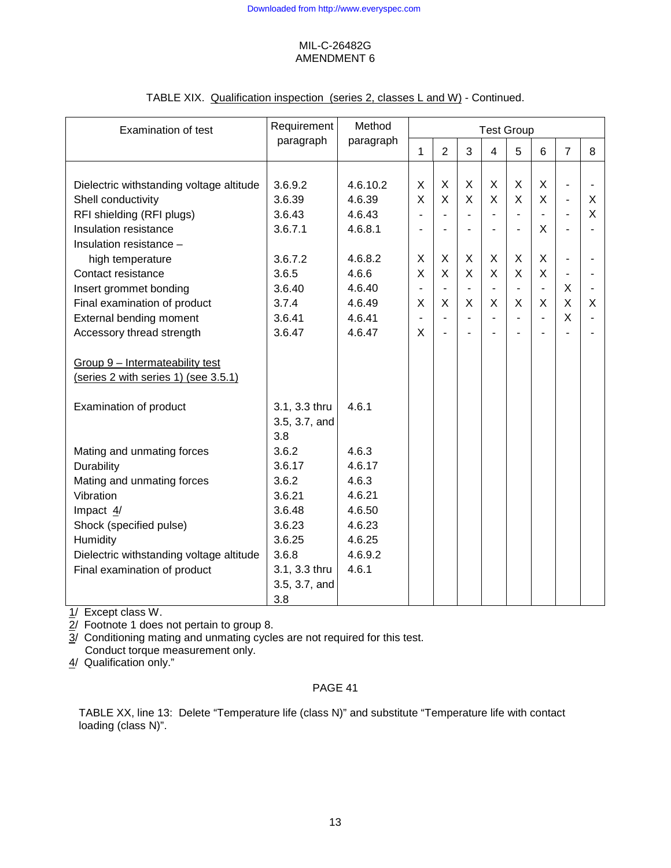| <b>Examination of test</b>               | Requirement<br>paragraph | Method<br>paragraph | <b>Test Group</b>        |                          |                          |                |                          |                |                          |   |
|------------------------------------------|--------------------------|---------------------|--------------------------|--------------------------|--------------------------|----------------|--------------------------|----------------|--------------------------|---|
|                                          |                          |                     | $\mathbf{1}$             | $\overline{2}$           | 3                        | $\overline{4}$ | 5                        | 6              | $\overline{7}$           | 8 |
|                                          |                          |                     |                          |                          |                          |                |                          |                |                          |   |
| Dielectric withstanding voltage altitude | 3.6.9.2                  | 4.6.10.2            | Χ                        | X                        | X                        | X              | X                        | X              | $\overline{\phantom{a}}$ |   |
| Shell conductivity                       | 3.6.39                   | 4.6.39              | X                        | X                        | X                        | X              | X                        | X              | $\overline{\phantom{a}}$ | X |
| RFI shielding (RFI plugs)                | 3.6.43                   | 4.6.43              | ÷,                       |                          |                          | $\blacksquare$ | $\overline{a}$           | $\overline{a}$ | $\overline{a}$           | X |
| Insulation resistance                    | 3.6.7.1                  | 4.6.8.1             |                          |                          |                          | $\blacksquare$ | $\overline{a}$           | X              |                          |   |
| Insulation resistance -                  |                          |                     |                          |                          |                          |                |                          |                |                          |   |
| high temperature                         | 3.6.7.2                  | 4.6.8.2             | X                        | X                        | X                        | X              | X                        | X              |                          |   |
| Contact resistance                       | 3.6.5                    | 4.6.6               | X                        | X                        | X                        | X              | X                        | X              | $\overline{\phantom{a}}$ |   |
| Insert grommet bonding                   | 3.6.40                   | 4.6.40              | $\blacksquare$           | $\overline{\phantom{a}}$ | $\overline{\phantom{a}}$ | $\blacksquare$ | $\overline{\phantom{0}}$ | $\blacksquare$ | X                        |   |
| Final examination of product             | 3.7.4                    | 4.6.49              | Χ                        | X                        | X                        | X              | X                        | X              | X                        | X |
| <b>External bending moment</b>           | 3.6.41                   | 4.6.41              | $\overline{\phantom{0}}$ | $\blacksquare$           |                          | $\blacksquare$ | $\overline{a}$           | $\blacksquare$ | X                        |   |
| Accessory thread strength                | 3.6.47                   | 4.6.47              | X                        |                          |                          |                |                          |                |                          |   |
|                                          |                          |                     |                          |                          |                          |                |                          |                |                          |   |
| Group 9 - Intermateability test          |                          |                     |                          |                          |                          |                |                          |                |                          |   |
| (series 2 with series 1) (see 3.5.1)     |                          |                     |                          |                          |                          |                |                          |                |                          |   |
|                                          |                          |                     |                          |                          |                          |                |                          |                |                          |   |
| Examination of product                   | 3.1, 3.3 thru            | 4.6.1               |                          |                          |                          |                |                          |                |                          |   |
|                                          | 3.5, 3.7, and            |                     |                          |                          |                          |                |                          |                |                          |   |
|                                          | 3.8                      |                     |                          |                          |                          |                |                          |                |                          |   |
| Mating and unmating forces               | 3.6.2                    | 4.6.3               |                          |                          |                          |                |                          |                |                          |   |
| Durability                               | 3.6.17                   | 4.6.17              |                          |                          |                          |                |                          |                |                          |   |
| Mating and unmating forces               | 3.6.2                    | 4.6.3               |                          |                          |                          |                |                          |                |                          |   |
| Vibration                                | 3.6.21                   | 4.6.21              |                          |                          |                          |                |                          |                |                          |   |
| Impact 4/                                | 3.6.48                   | 4.6.50              |                          |                          |                          |                |                          |                |                          |   |
| Shock (specified pulse)                  | 3.6.23                   | 4.6.23              |                          |                          |                          |                |                          |                |                          |   |
| Humidity                                 | 3.6.25                   | 4.6.25              |                          |                          |                          |                |                          |                |                          |   |
| Dielectric withstanding voltage altitude | 3.6.8                    | 4.6.9.2             |                          |                          |                          |                |                          |                |                          |   |
| Final examination of product             | 3.1, 3.3 thru            | 4.6.1               |                          |                          |                          |                |                          |                |                          |   |
|                                          | 3.5, 3.7, and            |                     |                          |                          |                          |                |                          |                |                          |   |
|                                          | 3.8                      |                     |                          |                          |                          |                |                          |                |                          |   |

# TABLE XIX. Qualification inspection (series 2, classes L and W) - Continued.

1/ Except class W.

2/ Footnote 1 does not pertain to group 8.

3/ Conditioning mating and unmating cycles are not required for this test. Conduct torque measurement only.

4/ Qualification only."

# PAGE 41

TABLE XX, line 13: Delete "Temperature life (class N)" and substitute "Temperature life with contact loading (class N)".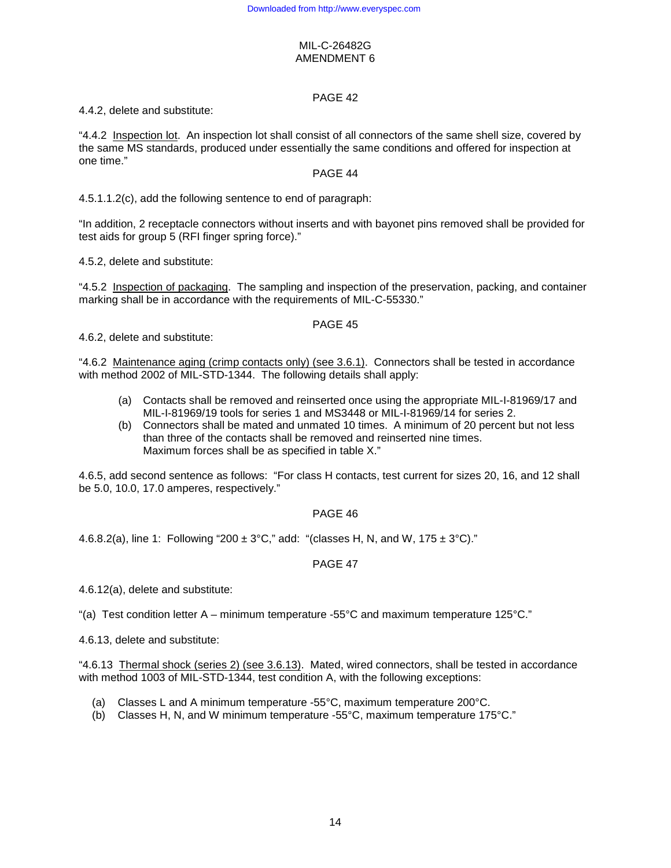## PAGE 42

4.4.2, delete and substitute:

"4.4.2 Inspection lot. An inspection lot shall consist of all connectors of the same shell size, covered by the same MS standards, produced under essentially the same conditions and offered for inspection at one time."

## PAGE 44

4.5.1.1.2(c), add the following sentence to end of paragraph:

"In addition, 2 receptacle connectors without inserts and with bayonet pins removed shall be provided for test aids for group 5 (RFI finger spring force)."

4.5.2, delete and substitute:

"4.5.2 Inspection of packaging. The sampling and inspection of the preservation, packing, and container marking shall be in accordance with the requirements of MIL-C-55330."

# PAGE 45

4.6.2, delete and substitute:

"4.6.2 Maintenance aging (crimp contacts only) (see 3.6.1). Connectors shall be tested in accordance with method 2002 of MIL-STD-1344. The following details shall apply:

- (a) Contacts shall be removed and reinserted once using the appropriate MIL-I-81969/17 and MIL-I-81969/19 tools for series 1 and MS3448 or MIL-I-81969/14 for series 2.
- (b) Connectors shall be mated and unmated 10 times. A minimum of 20 percent but not less than three of the contacts shall be removed and reinserted nine times. Maximum forces shall be as specified in table X."

4.6.5, add second sentence as follows: "For class H contacts, test current for sizes 20, 16, and 12 shall be 5.0, 10.0, 17.0 amperes, respectively."

## PAGE 46

4.6.8.2(a), line 1: Following "200  $\pm$  3°C," add: "(classes H, N, and W, 175  $\pm$  3°C)."

## PAGE 47

4.6.12(a), delete and substitute:

"(a) Test condition letter  $A$  – minimum temperature -55°C and maximum temperature 125°C."

4.6.13, delete and substitute:

"4.6.13 Thermal shock (series 2) (see 3.6.13). Mated, wired connectors, shall be tested in accordance with method 1003 of MIL-STD-1344, test condition A, with the following exceptions:

- (a) Classes L and A minimum temperature -55°C, maximum temperature 200°C.
- (b) Classes H, N, and W minimum temperature -55°C, maximum temperature 175°C."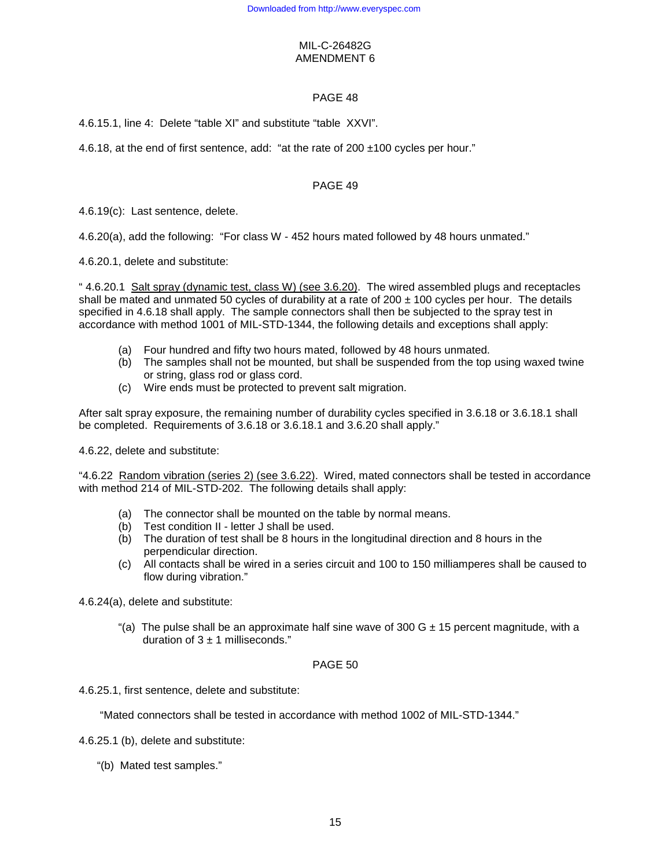## PAGE 48

4.6.15.1, line 4: Delete "table XI" and substitute "table XXVI".

4.6.18, at the end of first sentence, add: "at the rate of 200 ±100 cycles per hour."

## PAGE 49

4.6.19(c): Last sentence, delete.

4.6.20(a), add the following: "For class W - 452 hours mated followed by 48 hours unmated."

4.6.20.1, delete and substitute:

" 4.6.20.1 Salt spray (dynamic test, class W) (see 3.6.20). The wired assembled plugs and receptacles shall be mated and unmated 50 cycles of durability at a rate of  $200 \pm 100$  cycles per hour. The details specified in 4.6.18 shall apply. The sample connectors shall then be subjected to the spray test in accordance with method 1001 of MIL-STD-1344, the following details and exceptions shall apply:

- (a) Four hundred and fifty two hours mated, followed by 48 hours unmated.
- (b) The samples shall not be mounted, but shall be suspended from the top using waxed twine or string, glass rod or glass cord.
- (c) Wire ends must be protected to prevent salt migration.

After salt spray exposure, the remaining number of durability cycles specified in 3.6.18 or 3.6.18.1 shall be completed. Requirements of 3.6.18 or 3.6.18.1 and 3.6.20 shall apply."

4.6.22, delete and substitute:

"4.6.22 Random vibration (series 2) (see 3.6.22). Wired, mated connectors shall be tested in accordance with method 214 of MIL-STD-202. The following details shall apply:

- (a) The connector shall be mounted on the table by normal means.
- (b) Test condition II letter J shall be used.
- (b) The duration of test shall be 8 hours in the longitudinal direction and 8 hours in the perpendicular direction.
- (c) All contacts shall be wired in a series circuit and 100 to 150 milliamperes shall be caused to flow during vibration."

4.6.24(a), delete and substitute:

"(a) The pulse shall be an approximate half sine wave of 300 G  $\pm$  15 percent magnitude, with a duration of  $3 \pm 1$  milliseconds."

### PAGE 50

4.6.25.1, first sentence, delete and substitute:

"Mated connectors shall be tested in accordance with method 1002 of MIL-STD-1344."

4.6.25.1 (b), delete and substitute:

"(b) Mated test samples."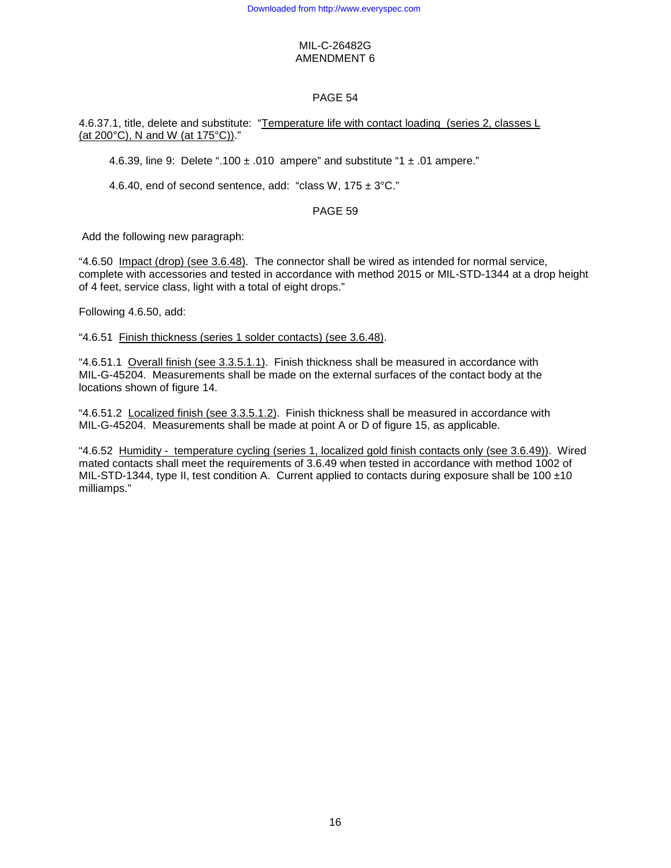# PAGE 54

4.6.37.1, title, delete and substitute: "Temperature life with contact loading (series 2, classes L (at 200°C), N and W (at 175°C))."

4.6.39, line 9: Delete ".100  $\pm$  .010 ampere" and substitute "1  $\pm$  .01 ampere."

4.6.40, end of second sentence, add: "class W,  $175 \pm 3^{\circ}$ C."

## PAGE 59

Add the following new paragraph:

"4.6.50 Impact (drop) (see 3.6.48). The connector shall be wired as intended for normal service, complete with accessories and tested in accordance with method 2015 or MIL-STD-1344 at a drop height of 4 feet, service class, light with a total of eight drops."

Following 4.6.50, add:

"4.6.51 Finish thickness (series 1 solder contacts) (see 3.6.48).

"4.6.51.1 Overall finish (see 3.3.5.1.1). Finish thickness shall be measured in accordance with MIL-G-45204. Measurements shall be made on the external surfaces of the contact body at the locations shown of figure 14.

"4.6.51.2 Localized finish (see 3.3.5.1.2). Finish thickness shall be measured in accordance with MIL-G-45204. Measurements shall be made at point A or D of figure 15, as applicable.

"4.6.52 Humidity - temperature cycling (series 1, localized gold finish contacts only (see 3.6.49)). Wired mated contacts shall meet the requirements of 3.6.49 when tested in accordance with method 1002 of MIL-STD-1344, type II, test condition A. Current applied to contacts during exposure shall be 100  $\pm$ 10 milliamps."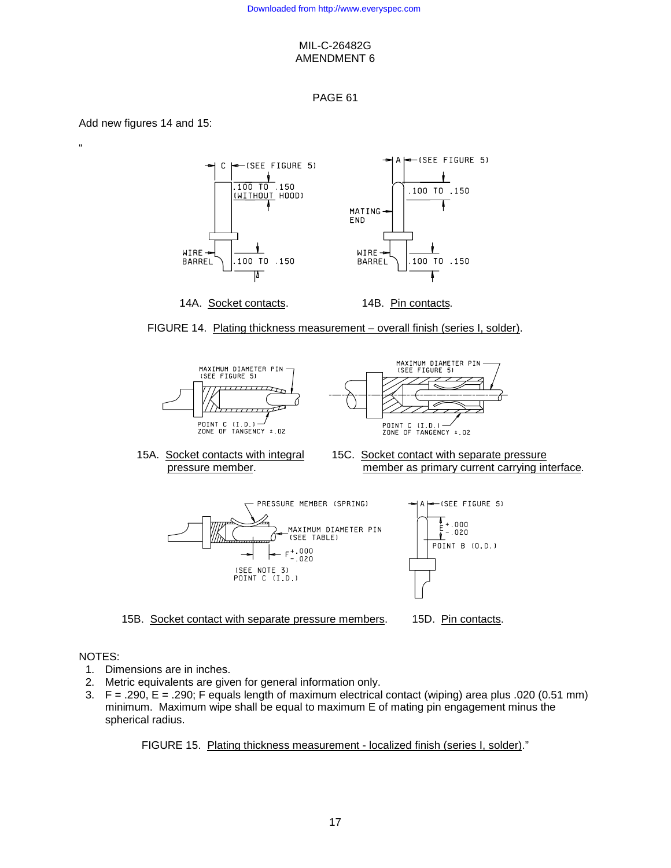## PAGE 61

Add new figures 14 and 15:

"



FIGURE 14. Plating thickness measurement – overall finish (series I, solder).





- 
- 15A. Socket contacts with integral 15C. Socket contact with separate pressure pressure member. member as primary current carrying interface.



15B. Socket contact with separate pressure members. 15D. Pin contacts.



#### NOTES:

- 1. Dimensions are in inches.
- 2. Metric equivalents are given for general information only.
- 3. F = .290, E = .290; F equals length of maximum electrical contact (wiping) area plus .020 (0.51 mm) minimum. Maximum wipe shall be equal to maximum E of mating pin engagement minus the spherical radius.

FIGURE 15. Plating thickness measurement - localized finish (series I, solder)."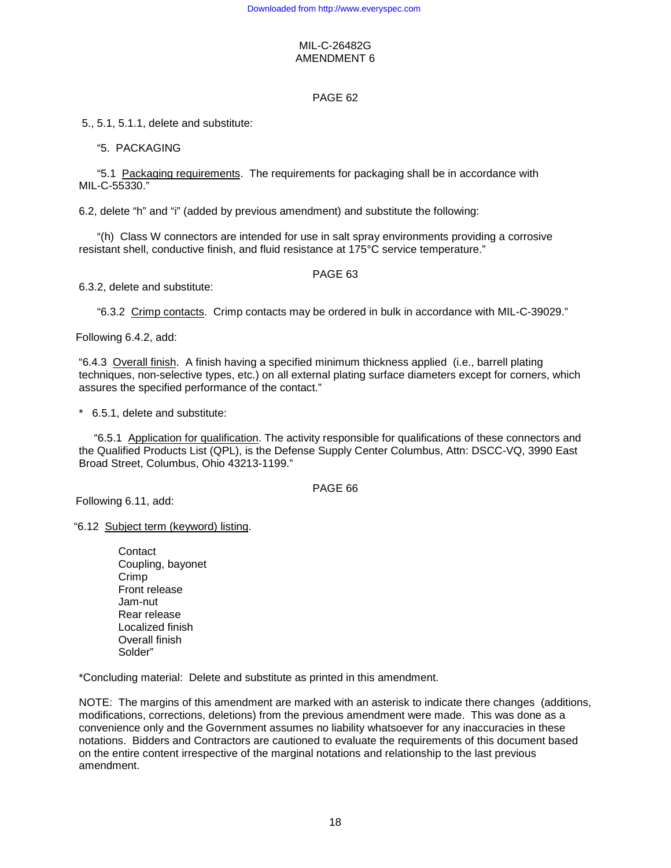## PAGE 62

5., 5.1, 5.1.1, delete and substitute:

## "5. PACKAGING

 "5.1 Packaging requirements. The requirements for packaging shall be in accordance with MIL-C-55330."

6.2, delete "h" and "i" (added by previous amendment) and substitute the following:

 "(h) Class W connectors are intended for use in salt spray environments providing a corrosive resistant shell, conductive finish, and fluid resistance at 175°C service temperature."

### PAGE 63

6.3.2, delete and substitute:

"6.3.2 Crimp contacts. Crimp contacts may be ordered in bulk in accordance with MIL-C-39029."

Following 6.4.2, add:

"6.4.3 Overall finish. A finish having a specified minimum thickness applied (i.e., barrell plating techniques, non-selective types, etc.) on all external plating surface diameters except for corners, which assures the specified performance of the contact."

\* 6.5.1, delete and substitute:

 "6.5.1 Application for qualification. The activity responsible for qualifications of these connectors and the Qualified Products List (QPL), is the Defense Supply Center Columbus, Attn: DSCC-VQ, 3990 East Broad Street, Columbus, Ohio 43213-1199."

### PAGE 66

Following 6.11, add:

"6.12 Subject term (keyword) listing.

Contact Coupling, bayonet Crimp Front release Jam-nut Rear release Localized finish Overall finish Solder"

\*Concluding material: Delete and substitute as printed in this amendment.

NOTE: The margins of this amendment are marked with an asterisk to indicate there changes (additions, modifications, corrections, deletions) from the previous amendment were made. This was done as a convenience only and the Government assumes no liability whatsoever for any inaccuracies in these notations. Bidders and Contractors are cautioned to evaluate the requirements of this document based on the entire content irrespective of the marginal notations and relationship to the last previous amendment.